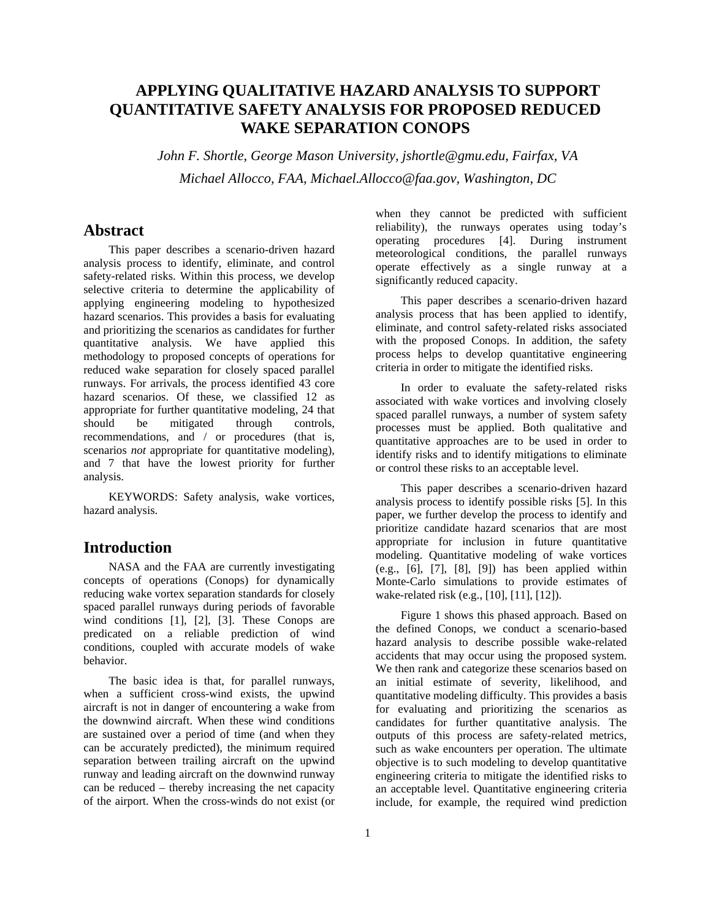# **APPLYING QUALITATIVE HAZARD ANALYSIS TO SUPPORT QUANTITATIVE SAFETY ANALYSIS FOR PROPOSED REDUCED WAKE SEPARATION CONOPS**

*John F. Shortle, George Mason University, jshortle@gmu.edu, Fairfax, VA Michael Allocco, FAA, Michael.Allocco@faa.gov, Washington, DC* 

# **Abstract**

This paper describes a scenario-driven hazard analysis process to identify, eliminate, and control safety-related risks. Within this process, we develop selective criteria to determine the applicability of applying engineering modeling to hypothesized hazard scenarios. This provides a basis for evaluating and prioritizing the scenarios as candidates for further quantitative analysis. We have applied this methodology to proposed concepts of operations for reduced wake separation for closely spaced parallel runways. For arrivals, the process identified 43 core hazard scenarios. Of these, we classified 12 as appropriate for further quantitative modeling, 24 that should be mitigated through controls, recommendations, and / or procedures (that is, scenarios *not* appropriate for quantitative modeling), and 7 that have the lowest priority for further analysis.

KEYWORDS: Safety analysis, wake vortices, hazard analysis.

# **Introduction**

NASA and the FAA are currently investigating concepts of operations (Conops) for dynamically reducing wake vortex separation standards for closely spaced parallel runways during periods of favorable wind conditions [1], [2], [3]. These Conops are predicated on a reliable prediction of wind conditions, coupled with accurate models of wake behavior.

The basic idea is that, for parallel runways, when a sufficient cross-wind exists, the upwind aircraft is not in danger of encountering a wake from the downwind aircraft. When these wind conditions are sustained over a period of time (and when they can be accurately predicted), the minimum required separation between trailing aircraft on the upwind runway and leading aircraft on the downwind runway can be reduced – thereby increasing the net capacity of the airport. When the cross-winds do not exist (or when they cannot be predicted with sufficient reliability), the runways operates using today's operating procedures [4]. During instrument meteorological conditions, the parallel runways operate effectively as a single runway at a significantly reduced capacity.

This paper describes a scenario-driven hazard analysis process that has been applied to identify, eliminate, and control safety-related risks associated with the proposed Conops. In addition, the safety process helps to develop quantitative engineering criteria in order to mitigate the identified risks.

In order to evaluate the safety-related risks associated with wake vortices and involving closely spaced parallel runways, a number of system safety processes must be applied. Both qualitative and quantitative approaches are to be used in order to identify risks and to identify mitigations to eliminate or control these risks to an acceptable level.

This paper describes a scenario-driven hazard analysis process to identify possible risks [5]. In this paper, we further develop the process to identify and prioritize candidate hazard scenarios that are most appropriate for inclusion in future quantitative modeling. Quantitative modeling of wake vortices (e.g., [6], [7], [8], [9]) has been applied within Monte-Carlo simulations to provide estimates of wake-related risk (e.g., [10], [11], [12]).

Figure 1 shows this phased approach. Based on the defined Conops, we conduct a scenario-based hazard analysis to describe possible wake-related accidents that may occur using the proposed system. We then rank and categorize these scenarios based on an initial estimate of severity, likelihood, and quantitative modeling difficulty. This provides a basis for evaluating and prioritizing the scenarios as candidates for further quantitative analysis. The outputs of this process are safety-related metrics, such as wake encounters per operation. The ultimate objective is to such modeling to develop quantitative engineering criteria to mitigate the identified risks to an acceptable level. Quantitative engineering criteria include, for example, the required wind prediction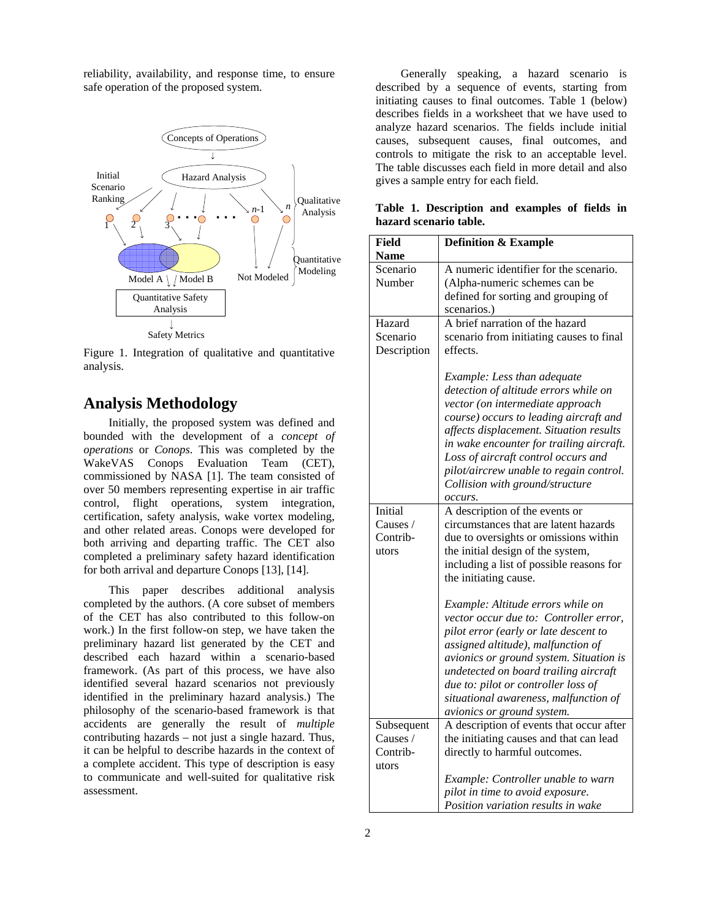reliability, availability, and response time, to ensure safe operation of the proposed system.



Figure 1. Integration of qualitative and quantitative analysis.

# **Analysis Methodology**

Initially, the proposed system was defined and bounded with the development of a *concept of operations* or *Conops*. This was completed by the WakeVAS Conops Evaluation Team (CET), commissioned by NASA [1]. The team consisted of over 50 members representing expertise in air traffic control, flight operations, system integration, certification, safety analysis, wake vortex modeling, and other related areas. Conops were developed for both arriving and departing traffic. The CET also completed a preliminary safety hazard identification for both arrival and departure Conops [13], [14].

This paper describes additional analysis completed by the authors. (A core subset of members of the CET has also contributed to this follow-on work.) In the first follow-on step, we have taken the preliminary hazard list generated by the CET and described each hazard within a scenario-based framework. (As part of this process, we have also identified several hazard scenarios not previously identified in the preliminary hazard analysis.) The philosophy of the scenario-based framework is that accidents are generally the result of *multiple* contributing hazards – not just a single hazard. Thus, it can be helpful to describe hazards in the context of a complete accident. This type of description is easy to communicate and well-suited for qualitative risk assessment.

Generally speaking, a hazard scenario is described by a sequence of events, starting from initiating causes to final outcomes. Table 1 (below) describes fields in a worksheet that we have used to analyze hazard scenarios. The fields include initial causes, subsequent causes, final outcomes, and controls to mitigate the risk to an acceptable level. The table discusses each field in more detail and also

|  | Table 1. Description and examples of fields in |  |  |  |
|--|------------------------------------------------|--|--|--|
|  | hazard scenario table.                         |  |  |  |

| Field<br><b>Name</b>                          | <b>Definition &amp; Example</b>                                                                                                                                                                                                                                                                                                                                           |
|-----------------------------------------------|---------------------------------------------------------------------------------------------------------------------------------------------------------------------------------------------------------------------------------------------------------------------------------------------------------------------------------------------------------------------------|
| Scenario<br>Number                            | A numeric identifier for the scenario.<br>(Alpha-numeric schemes can be<br>defined for sorting and grouping of                                                                                                                                                                                                                                                            |
| Hazard<br>Scenario<br>Description             | scenarios.)<br>A brief narration of the hazard<br>scenario from initiating causes to final<br>effects.                                                                                                                                                                                                                                                                    |
|                                               | Example: Less than adequate<br>detection of altitude errors while on<br>vector (on intermediate approach<br>course) occurs to leading aircraft and<br>affects displacement. Situation results<br>in wake encounter for trailing aircraft.<br>Loss of aircraft control occurs and<br>pilot/aircrew unable to regain control.<br>Collision with ground/structure<br>occurs. |
| Initial<br>Causes /<br>Contrib-<br>utors      | A description of the events or<br>circumstances that are latent hazards<br>due to oversights or omissions within<br>the initial design of the system,<br>including a list of possible reasons for<br>the initiating cause.                                                                                                                                                |
|                                               | Example: Altitude errors while on<br>vector occur due to: Controller error,<br>pilot error (early or late descent to<br>assigned altitude), malfunction of<br>avionics or ground system. Situation is<br>undetected on board trailing aircraft<br>due to: pilot or controller loss of<br>situational awareness, malfunction of<br>avionics or ground system.              |
| Subsequent<br>Causes $/$<br>Contrib-<br>utors | A description of events that occur after<br>the initiating causes and that can lead<br>directly to harmful outcomes.                                                                                                                                                                                                                                                      |
|                                               | Example: Controller unable to warn<br>pilot in time to avoid exposure.<br>Position variation results in wake                                                                                                                                                                                                                                                              |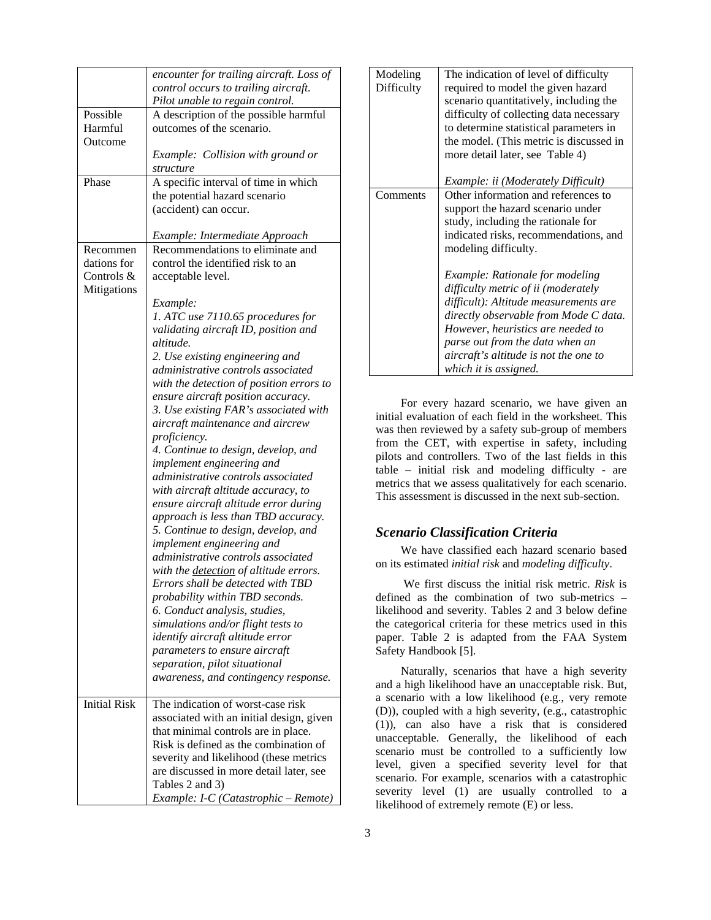|                     | encounter for trailing aircraft. Loss of      |
|---------------------|-----------------------------------------------|
|                     | control occurs to trailing aircraft.          |
|                     | Pilot unable to regain control.               |
| Possible            | A description of the possible harmful         |
| Harmful             | outcomes of the scenario.                     |
| Outcome             |                                               |
|                     | Example: Collision with ground or             |
|                     |                                               |
|                     | structure                                     |
| Phase               | A specific interval of time in which          |
|                     | the potential hazard scenario                 |
|                     | (accident) can occur.                         |
|                     |                                               |
|                     | Example: Intermediate Approach                |
| Recommen            | Recommendations to eliminate and              |
| dations for         | control the identified risk to an             |
| Controls &          | acceptable level.                             |
| Mitigations         |                                               |
|                     | Example:                                      |
|                     | 1. ATC use 7110.65 procedures for             |
|                     | validating aircraft ID, position and          |
|                     | altitude.                                     |
|                     | 2. Use existing engineering and               |
|                     | administrative controls associated            |
|                     |                                               |
|                     | with the detection of position errors to      |
|                     | ensure aircraft position accuracy.            |
|                     | 3. Use existing FAR's associated with         |
|                     | aircraft maintenance and aircrew              |
|                     | proficiency.                                  |
|                     | 4. Continue to design, develop, and           |
|                     | implement engineering and                     |
|                     | administrative controls associated            |
|                     | with aircraft altitude accuracy, to           |
|                     | ensure aircraft altitude error during         |
|                     | approach is less than TBD accuracy.           |
|                     | 5. Continue to design, develop, and           |
|                     | implement engineering and                     |
|                     | administrative controls associated            |
|                     | with the <i>detection</i> of altitude errors. |
|                     | Errors shall be detected with TBD             |
|                     |                                               |
|                     | probability within TBD seconds.               |
|                     | 6. Conduct analysis, studies,                 |
|                     | simulations and/or flight tests to            |
|                     | identify aircraft altitude error              |
|                     | parameters to ensure aircraft                 |
|                     | separation, pilot situational                 |
|                     | awareness, and contingency response.          |
| <b>Initial Risk</b> | The indication of worst-case risk             |
|                     | associated with an initial design, given      |
|                     | that minimal controls are in place.           |
|                     | Risk is defined as the combination of         |
|                     | severity and likelihood (these metrics        |
|                     | are discussed in more detail later, see       |
|                     |                                               |
|                     | Tables 2 and 3)                               |
|                     | Example: I-C (Catastrophic - Remote)          |

| Modeling<br>Difficulty | The indication of level of difficulty<br>required to model the given hazard<br>scenario quantitatively, including the<br>difficulty of collecting data necessary<br>to determine statistical parameters in<br>the model. (This metric is discussed in<br>more detail later, see Table 4)<br><i>Example: ii (Moderately Difficult)</i> |
|------------------------|---------------------------------------------------------------------------------------------------------------------------------------------------------------------------------------------------------------------------------------------------------------------------------------------------------------------------------------|
| Comments               | Other information and references to<br>support the hazard scenario under<br>study, including the rationale for<br>indicated risks, recommendations, and<br>modeling difficulty.                                                                                                                                                       |
|                        | Example: Rationale for modeling<br>difficulty metric of ii (moderately<br>difficult): Altitude measurements are<br>directly observable from Mode C data.<br>However, heuristics are needed to<br>parse out from the data when an<br>aircraft's altitude is not the one to<br>which it is assigned.                                    |

For every hazard scenario, we have given an initial evaluation of each field in the worksheet. This was then reviewed by a safety sub-group of members from the CET, with expertise in safety, including pilots and controllers. Two of the last fields in this table – initial risk and modeling difficulty - are metrics that we assess qualitatively for each scenario. This assessment is discussed in the next sub-section.

## *Scenario Classification Criteria*

We have classified each hazard scenario based on its estimated *initial risk* and *modeling difficulty*.

 We first discuss the initial risk metric. *Risk* is defined as the combination of two sub-metrics – likelihood and severity. Tables 2 and 3 below define the categorical criteria for these metrics used in this paper. Table 2 is adapted from the FAA System Safety Handbook [5].

Naturally, scenarios that have a high severity and a high likelihood have an unacceptable risk. But, a scenario with a low likelihood (e.g., very remote (D)), coupled with a high severity, (e.g., catastrophic (1)), can also have a risk that is considered unacceptable. Generally, the likelihood of each scenario must be controlled to a sufficiently low level, given a specified severity level for that scenario. For example, scenarios with a catastrophic severity level (1) are usually controlled to a likelihood of extremely remote (E) or less.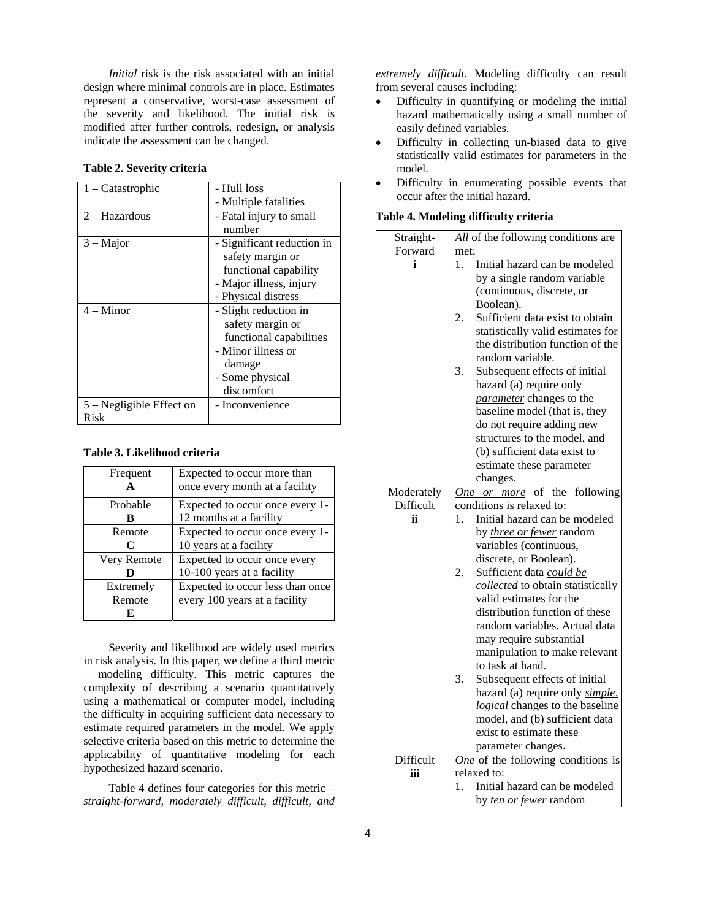*Initial* risk is the risk associated with an initial design where minimal controls are in place. Estimates represent a conservative, worst-case assessment of the severity and likelihood. The initial risk is modified after further controls, redesign, or analysis indicate the assessment can be changed.

#### **Table 2. Severity criteria**

| $1 -$ Catastrophic         | - Hull loss                |
|----------------------------|----------------------------|
|                            | - Multiple fatalities      |
| $2 - Hazardous$            | - Fatal injury to small    |
|                            | number                     |
| $3 - Major$                | - Significant reduction in |
|                            | safety margin or           |
|                            | functional capability      |
|                            | - Major illness, injury    |
|                            | - Physical distress        |
| $4 -$ Minor                | - Slight reduction in      |
|                            | safety margin or           |
|                            | functional capabilities    |
|                            | - Minor illness or         |
|                            | damage                     |
|                            | - Some physical            |
|                            | discomfort                 |
| $5 - Negligible$ Effect on | - Inconvenience            |
| Risk                       |                            |

#### **Table 3. Likelihood criteria**

| Frequent    | Expected to occur more than      |
|-------------|----------------------------------|
|             | once every month at a facility   |
| Probable    | Expected to occur once every 1-  |
| R           | 12 months at a facility          |
| Remote      | Expected to occur once every 1-  |
| C           | 10 years at a facility           |
| Very Remote | Expected to occur once every     |
|             | 10-100 years at a facility       |
| Extremely   | Expected to occur less than once |
| Remote      | every 100 years at a facility    |
| K)          |                                  |

Severity and likelihood are widely used metrics in risk analysis. In this paper, we define a third metric – modeling difficulty. This metric captures the complexity of describing a scenario quantitatively using a mathematical or computer model, including the difficulty in acquiring sufficient data necessary to estimate required parameters in the model. We apply selective criteria based on this metric to determine the applicability of quantitative modeling for each hypothesized hazard scenario.

Table 4 defines four categories for this metric – *straight-forward, moderately difficult, difficult, and*  *extremely difficult*. Modeling difficulty can result from several causes including:

- Difficulty in quantifying or modeling the initial hazard mathematically using a small number of easily defined variables.
- Difficulty in collecting un-biased data to give statistically valid estimates for parameters in the model.
- Difficulty in enumerating possible events that occur after the initial hazard.

### **Table 4. Modeling difficulty criteria**

| Straight-  | All of the following conditions are      |  |
|------------|------------------------------------------|--|
| Forward    | met:                                     |  |
| i          | Initial hazard can be modeled<br>1.      |  |
|            | by a single random variable              |  |
|            | (continuous, discrete, or                |  |
|            | Boolean).                                |  |
|            | 2.<br>Sufficient data exist to obtain    |  |
|            | statistically valid estimates for        |  |
|            | the distribution function of the         |  |
|            | random variable.                         |  |
|            | 3.<br>Subsequent effects of initial      |  |
|            |                                          |  |
|            | hazard (a) require only                  |  |
|            | parameter changes to the                 |  |
|            | baseline model (that is, they            |  |
|            | do not require adding new                |  |
|            | structures to the model, and             |  |
|            | (b) sufficient data exist to             |  |
|            | estimate these parameter                 |  |
|            | changes.                                 |  |
| Moderately | of<br>the<br>following<br>One<br>or more |  |
| Difficult  | conditions is relaxed to:                |  |
| ii.        | Initial hazard can be modeled<br>1.      |  |
|            | by <i>three or fewer</i> random          |  |
|            | variables (continuous,                   |  |
|            | discrete, or Boolean).                   |  |
|            | 2.<br>Sufficient data could be           |  |
|            | collected to obtain statistically        |  |
|            | valid estimates for the                  |  |
|            | distribution function of these           |  |
|            | random variables. Actual data            |  |
|            | may require substantial                  |  |
|            | manipulation to make relevant            |  |
|            | to task at hand.                         |  |
|            | 3.<br>Subsequent effects of initial      |  |
|            | hazard (a) require only simple,          |  |
|            | logical changes to the baseline          |  |
|            | model, and (b) sufficient data           |  |
|            | exist to estimate these                  |  |
|            | parameter changes.                       |  |
| Difficult  | One of the following conditions is       |  |
| iii        | relaxed to:                              |  |
|            | Initial hazard can be modeled<br>1.      |  |
|            | by <i>ten or fewer</i> random            |  |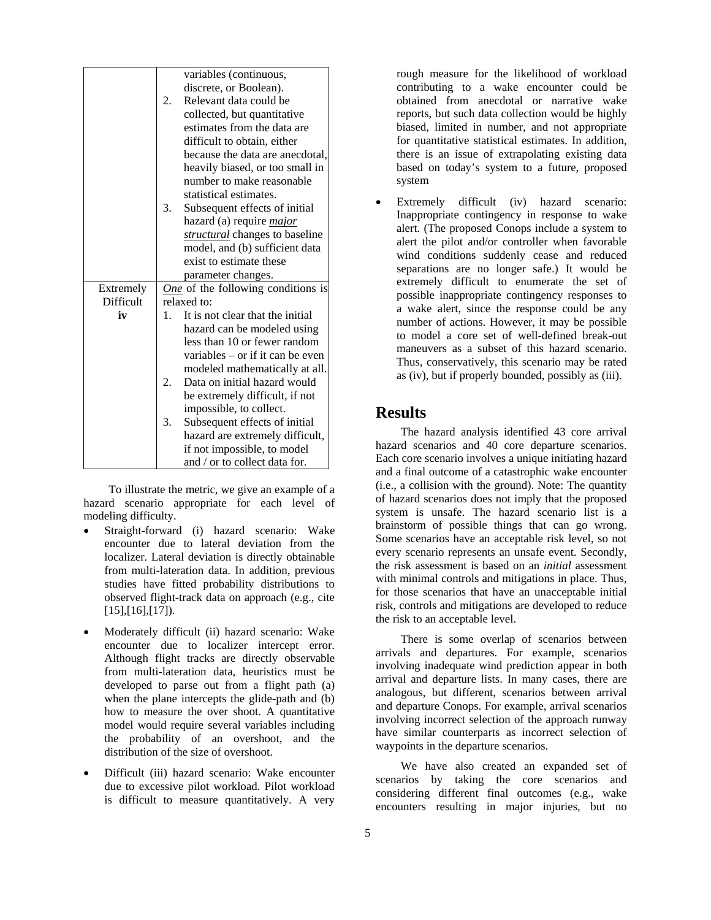|           | variables (continuous,                      |  |
|-----------|---------------------------------------------|--|
|           | discrete, or Boolean).                      |  |
|           | 2.<br>Relevant data could be                |  |
|           | collected, but quantitative                 |  |
|           | estimates from the data are                 |  |
|           | difficult to obtain, either                 |  |
|           | because the data are anecdotal,             |  |
|           | heavily biased, or too small in             |  |
|           | number to make reasonable                   |  |
|           | statistical estimates.                      |  |
|           | 3.<br>Subsequent effects of initial         |  |
|           | hazard (a) require <i>major</i>             |  |
|           | structural changes to baseline              |  |
|           | model, and (b) sufficient data              |  |
|           | exist to estimate these                     |  |
|           | parameter changes.                          |  |
| Extremely | One of the following conditions is          |  |
| Difficult | relaxed to:                                 |  |
| iv        | It is not clear that the initial<br>$1_{-}$ |  |
|           | hazard can be modeled using                 |  |
|           | less than 10 or fewer random                |  |
|           | variables – or if it can be even            |  |
|           | modeled mathematically at all.              |  |
|           | 2.<br>Data on initial hazard would          |  |
|           | be extremely difficult, if not              |  |
|           | impossible, to collect.                     |  |
|           | 3.<br>Subsequent effects of initial         |  |
|           |                                             |  |
|           | hazard are extremely difficult,             |  |
|           | if not impossible, to model                 |  |

To illustrate the metric, we give an example of a hazard scenario appropriate for each level of modeling difficulty.

- Straight-forward (i) hazard scenario: Wake encounter due to lateral deviation from the localizer. Lateral deviation is directly obtainable from multi-lateration data. In addition, previous studies have fitted probability distributions to observed flight-track data on approach (e.g., cite  $[15]$ , $[16]$ , $[17]$ ).
- Moderately difficult (ii) hazard scenario: Wake encounter due to localizer intercept error. Although flight tracks are directly observable from multi-lateration data, heuristics must be developed to parse out from a flight path (a) when the plane intercepts the glide-path and (b) how to measure the over shoot. A quantitative model would require several variables including the probability of an overshoot, and the distribution of the size of overshoot.
- Difficult (iii) hazard scenario: Wake encounter due to excessive pilot workload. Pilot workload is difficult to measure quantitatively. A very

rough measure for the likelihood of workload contributing to a wake encounter could be obtained from anecdotal or narrative wake reports, but such data collection would be highly biased, limited in number, and not appropriate for quantitative statistical estimates. In addition, there is an issue of extrapolating existing data based on today's system to a future, proposed system

Extremely difficult (iv) hazard scenario: Inappropriate contingency in response to wake alert. (The proposed Conops include a system to alert the pilot and/or controller when favorable wind conditions suddenly cease and reduced separations are no longer safe.) It would be extremely difficult to enumerate the set of possible inappropriate contingency responses to a wake alert, since the response could be any number of actions. However, it may be possible to model a core set of well-defined break-out maneuvers as a subset of this hazard scenario. Thus, conservatively, this scenario may be rated as (iv), but if properly bounded, possibly as (iii).

# **Results**

The hazard analysis identified 43 core arrival hazard scenarios and 40 core departure scenarios. Each core scenario involves a unique initiating hazard and a final outcome of a catastrophic wake encounter (i.e., a collision with the ground). Note: The quantity of hazard scenarios does not imply that the proposed system is unsafe. The hazard scenario list is a brainstorm of possible things that can go wrong. Some scenarios have an acceptable risk level, so not every scenario represents an unsafe event. Secondly, the risk assessment is based on an *initial* assessment with minimal controls and mitigations in place. Thus, for those scenarios that have an unacceptable initial risk, controls and mitigations are developed to reduce the risk to an acceptable level.

There is some overlap of scenarios between arrivals and departures. For example, scenarios involving inadequate wind prediction appear in both arrival and departure lists. In many cases, there are analogous, but different, scenarios between arrival and departure Conops. For example, arrival scenarios involving incorrect selection of the approach runway have similar counterparts as incorrect selection of waypoints in the departure scenarios.

We have also created an expanded set of scenarios by taking the core scenarios and considering different final outcomes (e.g., wake encounters resulting in major injuries, but no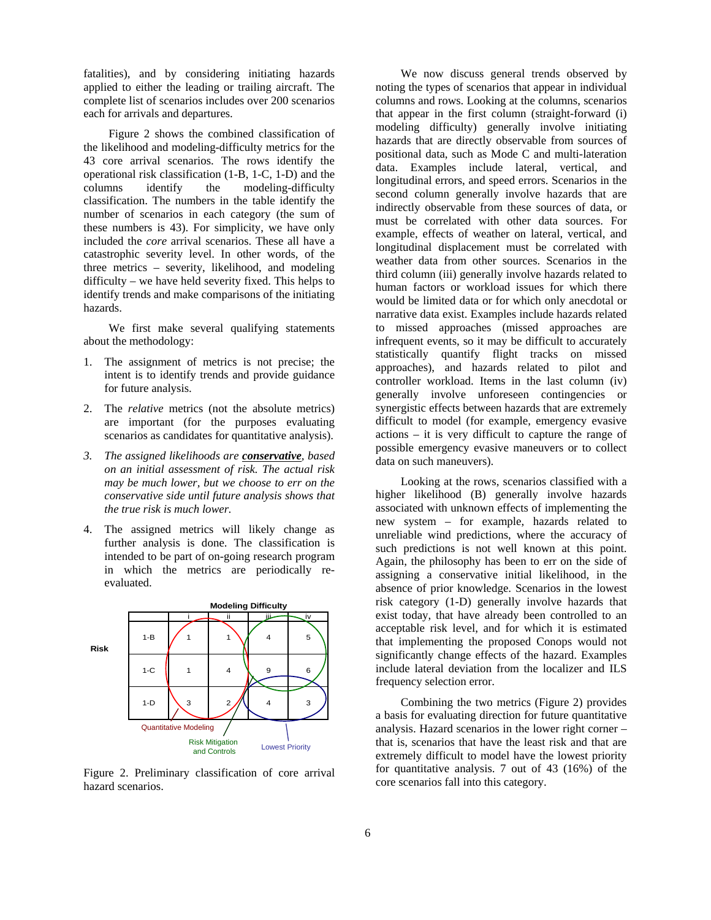fatalities), and by considering initiating hazards applied to either the leading or trailing aircraft. The complete list of scenarios includes over 200 scenarios each for arrivals and departures.

Figure 2 shows the combined classification of the likelihood and modeling-difficulty metrics for the 43 core arrival scenarios. The rows identify the operational risk classification (1-B, 1-C, 1-D) and the columns identify the modeling-difficulty classification. The numbers in the table identify the number of scenarios in each category (the sum of these numbers is 43). For simplicity, we have only included the *core* arrival scenarios. These all have a catastrophic severity level. In other words, of the three metrics – severity, likelihood, and modeling difficulty – we have held severity fixed. This helps to identify trends and make comparisons of the initiating hazards.

We first make several qualifying statements about the methodology:

- 1. The assignment of metrics is not precise; the intent is to identify trends and provide guidance for future analysis.
- 2. The *relative* metrics (not the absolute metrics) are important (for the purposes evaluating scenarios as candidates for quantitative analysis).
- *3. The assigned likelihoods are conservative, based on an initial assessment of risk. The actual risk may be much lower, but we choose to err on the conservative side until future analysis shows that the true risk is much lower.*
- 4. The assigned metrics will likely change as further analysis is done. The classification is intended to be part of on-going research program in which the metrics are periodically reevaluated.



Figure 2. Preliminary classification of core arrival hazard scenarios.

We now discuss general trends observed by noting the types of scenarios that appear in individual columns and rows. Looking at the columns, scenarios that appear in the first column (straight-forward (i) modeling difficulty) generally involve initiating hazards that are directly observable from sources of positional data, such as Mode C and multi-lateration data. Examples include lateral, vertical, and longitudinal errors, and speed errors. Scenarios in the second column generally involve hazards that are indirectly observable from these sources of data, or must be correlated with other data sources. For example, effects of weather on lateral, vertical, and longitudinal displacement must be correlated with weather data from other sources. Scenarios in the third column (iii) generally involve hazards related to human factors or workload issues for which there would be limited data or for which only anecdotal or narrative data exist. Examples include hazards related to missed approaches (missed approaches are infrequent events, so it may be difficult to accurately statistically quantify flight tracks on missed approaches), and hazards related to pilot and controller workload. Items in the last column (iv) generally involve unforeseen contingencies or synergistic effects between hazards that are extremely difficult to model (for example, emergency evasive actions – it is very difficult to capture the range of possible emergency evasive maneuvers or to collect data on such maneuvers).

Looking at the rows, scenarios classified with a higher likelihood (B) generally involve hazards associated with unknown effects of implementing the new system – for example, hazards related to unreliable wind predictions, where the accuracy of such predictions is not well known at this point. Again, the philosophy has been to err on the side of assigning a conservative initial likelihood, in the absence of prior knowledge. Scenarios in the lowest risk category (1-D) generally involve hazards that exist today, that have already been controlled to an acceptable risk level, and for which it is estimated that implementing the proposed Conops would not significantly change effects of the hazard. Examples include lateral deviation from the localizer and ILS frequency selection error.

Combining the two metrics (Figure 2) provides a basis for evaluating direction for future quantitative analysis. Hazard scenarios in the lower right corner – that is, scenarios that have the least risk and that are extremely difficult to model have the lowest priority for quantitative analysis. 7 out of 43 (16%) of the core scenarios fall into this category.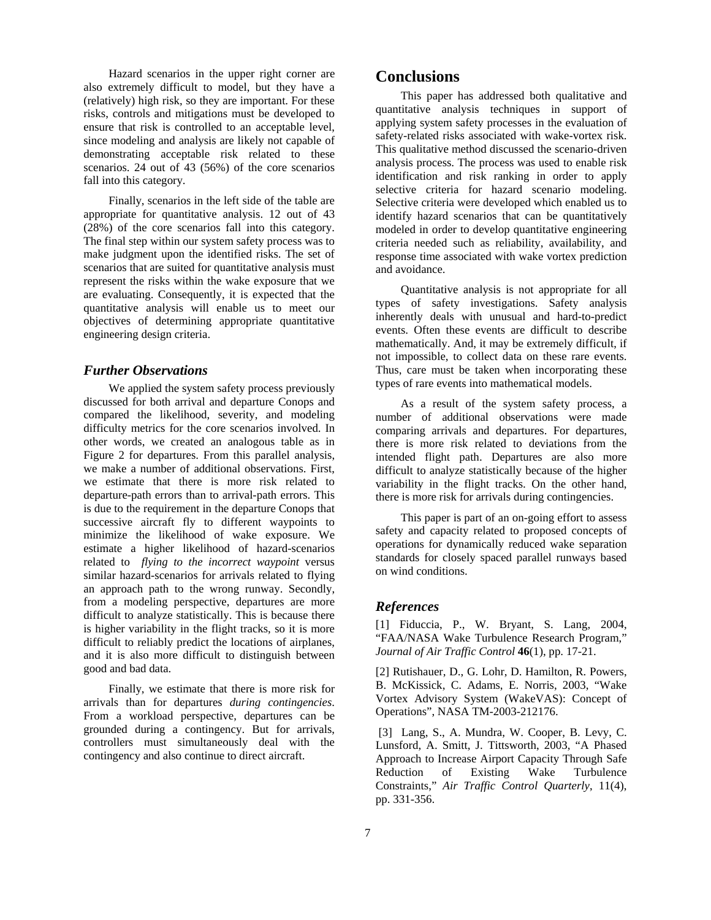Hazard scenarios in the upper right corner are also extremely difficult to model, but they have a (relatively) high risk, so they are important. For these risks, controls and mitigations must be developed to ensure that risk is controlled to an acceptable level, since modeling and analysis are likely not capable of demonstrating acceptable risk related to these scenarios. 24 out of 43 (56%) of the core scenarios fall into this category.

Finally, scenarios in the left side of the table are appropriate for quantitative analysis. 12 out of 43 (28%) of the core scenarios fall into this category. The final step within our system safety process was to make judgment upon the identified risks. The set of scenarios that are suited for quantitative analysis must represent the risks within the wake exposure that we are evaluating. Consequently, it is expected that the quantitative analysis will enable us to meet our objectives of determining appropriate quantitative engineering design criteria.

### *Further Observations*

We applied the system safety process previously discussed for both arrival and departure Conops and compared the likelihood, severity, and modeling difficulty metrics for the core scenarios involved. In other words, we created an analogous table as in Figure 2 for departures. From this parallel analysis, we make a number of additional observations. First, we estimate that there is more risk related to departure-path errors than to arrival-path errors. This is due to the requirement in the departure Conops that successive aircraft fly to different waypoints to minimize the likelihood of wake exposure. We estimate a higher likelihood of hazard-scenarios related to *flying to the incorrect waypoint* versus similar hazard-scenarios for arrivals related to flying an approach path to the wrong runway. Secondly, from a modeling perspective, departures are more difficult to analyze statistically. This is because there is higher variability in the flight tracks, so it is more difficult to reliably predict the locations of airplanes, and it is also more difficult to distinguish between good and bad data.

Finally, we estimate that there is more risk for arrivals than for departures *during contingencies*. From a workload perspective, departures can be grounded during a contingency. But for arrivals, controllers must simultaneously deal with the contingency and also continue to direct aircraft.

# **Conclusions**

This paper has addressed both qualitative and quantitative analysis techniques in support of applying system safety processes in the evaluation of safety-related risks associated with wake-vortex risk. This qualitative method discussed the scenario-driven analysis process. The process was used to enable risk identification and risk ranking in order to apply selective criteria for hazard scenario modeling. Selective criteria were developed which enabled us to identify hazard scenarios that can be quantitatively modeled in order to develop quantitative engineering criteria needed such as reliability, availability, and response time associated with wake vortex prediction and avoidance.

Quantitative analysis is not appropriate for all types of safety investigations. Safety analysis inherently deals with unusual and hard-to-predict events. Often these events are difficult to describe mathematically. And, it may be extremely difficult, if not impossible, to collect data on these rare events. Thus, care must be taken when incorporating these types of rare events into mathematical models.

As a result of the system safety process, a number of additional observations were made comparing arrivals and departures. For departures, there is more risk related to deviations from the intended flight path. Departures are also more difficult to analyze statistically because of the higher variability in the flight tracks. On the other hand, there is more risk for arrivals during contingencies.

This paper is part of an on-going effort to assess safety and capacity related to proposed concepts of operations for dynamically reduced wake separation standards for closely spaced parallel runways based on wind conditions.

### *References*

[1] Fiduccia, P., W. Bryant, S. Lang, 2004, "FAA/NASA Wake Turbulence Research Program," *Journal of Air Traffic Control* **46**(1), pp. 17-21.

[2] Rutishauer, D., G. Lohr, D. Hamilton, R. Powers, B. McKissick, C. Adams, E. Norris, 2003, "Wake Vortex Advisory System (WakeVAS): Concept of Operations", NASA TM-2003-212176.

 [3] Lang, S., A. Mundra, W. Cooper, B. Levy, C. Lunsford, A. Smitt, J. Tittsworth, 2003, "A Phased Approach to Increase Airport Capacity Through Safe Reduction of Existing Wake Turbulence Constraints," *Air Traffic Control Quarterly*, 11(4), pp. 331-356.